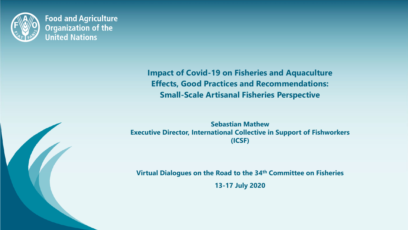

**Food and Agriculture Organization of the United Nations** 

> **Impact of Covid-19 on Fisheries and Aquaculture Effects, Good Practices and Recommendations: Small-Scale Artisanal Fisheries Perspective**

**Sebastian Mathew Executive Director, International Collective in Support of Fishworkers (ICSF)**

**Virtual Dialogues on the Road to the 34th Committee on Fisheries 13-17 July 2020**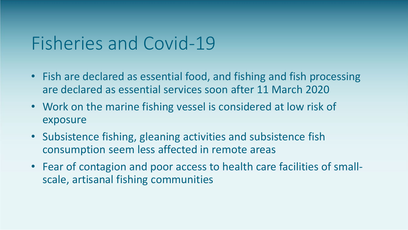#### Fisheries and Covid-19

- Fish are declared as essential food, and fishing and fish processing are declared as essential services soon after 11 March 2020
- are declared as essential services soon after 11 ividicit 2020<br>• Work on the marine fishing vessel is considered at low risk of exposure
- Subsistence fishing, gleaning activities and subsistence fish consumption seem less affected in remote areas
- Fear of contagion and poor access to health care facilities of smallscale, artisanal fishing communities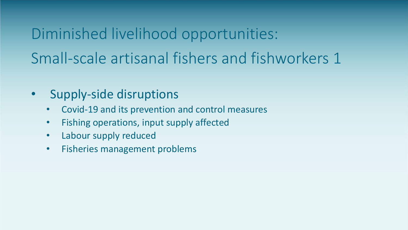Diminished livelihood opportunities: Small-scale artisanal fishers and fishworkers 1

- Supply-side disruptions
	- Supply-side disruptions<br>• Covid-19 and its prevention and control measures
	- Fishing operations, input supply affected
	- Labour supply reduced
	- Fisheries management problems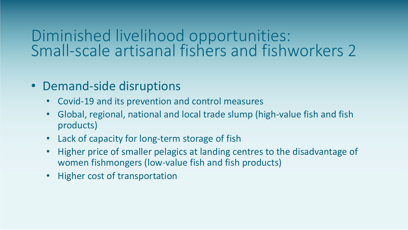#### Diminished livelihood opportunities: Small-scale artisanal fishers and fishworkers 2

- Demand-side disruptions
	- ont<br>J tr • Covid-19 and its prevention and control measures
	- Global, regional, national and local trade slump (high-value fish and fish products)
	- Lack of capacity for long-term storage of fish
	- Higher price of smaller pelagics at landing centres to the disadvantage of women fishmongers (low-value fish and fish products)
	- Higher cost of transportation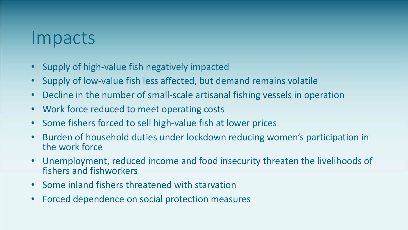#### Impacts

- Supply of high-value fish negatively impacted
- Supply of low-value fish less affected, but demand remains volatile
- Decline in the number of small-scale artisanal fishing vessels in operation<br>• Work force reduced to meet operating costs
- Work force reduced to meet operating costs
- Some fishers forced to sell high-value fish at lower prices
- Burden of household duties under lockdown reducing women's participation in the work force
- Unemployment, reduced income and food insecurity threaten the livelihoods of fishers and fishworkers
- Some inland fishers threatened with starvation
- Forced dependence on social protection measures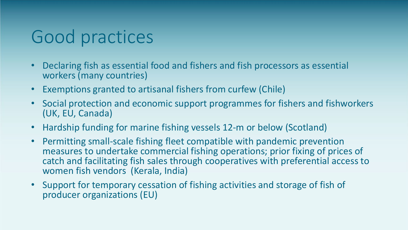## Good practices

- Declaring fish as essential food and fishers and fish processors as essential workers (many countries)
- Exemptions granted to artisanal fishers from curfew (Chile)
- s II<br>prt • Social protection and economic support programmes for fishers and fishworkers (UK, EU, Canada)
- Hardship funding for marine fishing vessels 12-m or below (Scotland)
- Permitting small-scale fishing fleet compatible with pandemic prevention measures to undertake commercial fishing operations; prior fixing of prices of catch and facilitating fish sales through cooperatives with preferential access to women fish vendors (Kerala, India)
- Support for temporary cessation of fishing activities and storage of fish of producer organizations (EU)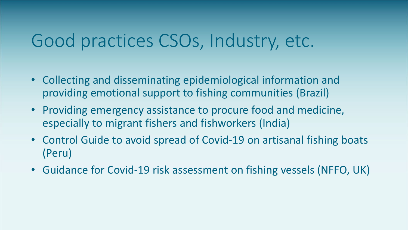# Good practices CSOs, Industry, etc.

- Collecting and disseminating epidemiological information and providing emotional support to fishing communities (Brazil)
- providing emotional support to fishing communities (Brazil)<br>• Providing emergency assistance to procure food and medicine, especially to migrant fishers and fishworkers (India)
- Control Guide to avoid spread of Covid-19 on artisanal fishing boats (Peru)
- Guidance for Covid-19 risk assessment on fishing vessels (NFFO, UK)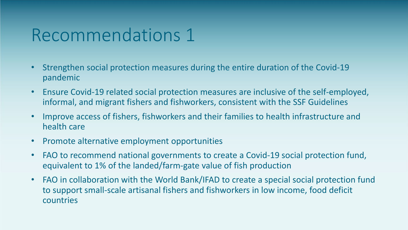#### Recommendations 1

- Strengthen social protection measures during the entire duration of the Covid-19 pandemic
- $\frac{m}{\sqrt{2}}$ • Ensure Covid-19 related social protection measures are inclusive of the self-employed, informal, and migrant fishers and fishworkers, consistent with the SSF Guidelines
- Improve access of fishers, fishworkers and their families to health infrastructure and health care
- Promote alternative employment opportunities
- FAO to recommend national governments to create a Covid-19 social protection fund, equivalent to 1% of the landed/farm-gate value of fish production
- FAO in collaboration with the World Bank/IFAD to create a special social protection fund to support small-scale artisanal fishers and fishworkers in low income, food deficit countries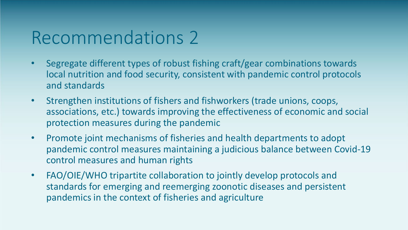### Recommendations 2

- Segregate different types of robust fishing craft/gear combinations towards local nutrition and food security, consistent with pandemic control protocols and standards
- Strengthen institutions of fishers and fishworkers (trade unions, coops,<br>associations, etc.) towards improving the effectiveness of economic and social • Strengthen institutions of fishers and fishworkers (trade unions, coops, protection measures during the pandemic
- Promote joint mechanisms of fisheries and health departments to adopt pandemic control measures maintaining a judicious balance between Covid-19 control measures and human rights
- FAO/OIE/WHO tripartite collaboration to jointly develop protocols and standards for emerging and reemerging zoonotic diseases and persistent pandemics in the context of fisheries and agriculture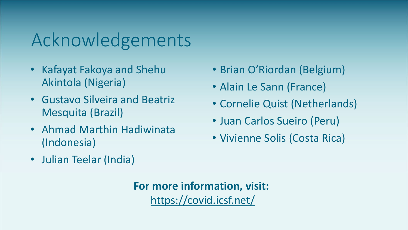# Acknowledgements

- Kafayat Fakoya and Shehu Akintola (Nigeria)
- Gustavo Silveira and Beatriz Mesquita (Brazil)
- Ahmad Marthin Hadiwinata (Indonesia)
- Julian Teelar (India)
- Brian O'Riordan (Belgium)
- Alain Le Sann (France)
- Cornelie Quist (Netherlands)
- Juan Carlos Sueiro (Peru)
- Vivienne Solis (Costa Rica)

**For more information, visit:** <https://covid.icsf.net/>